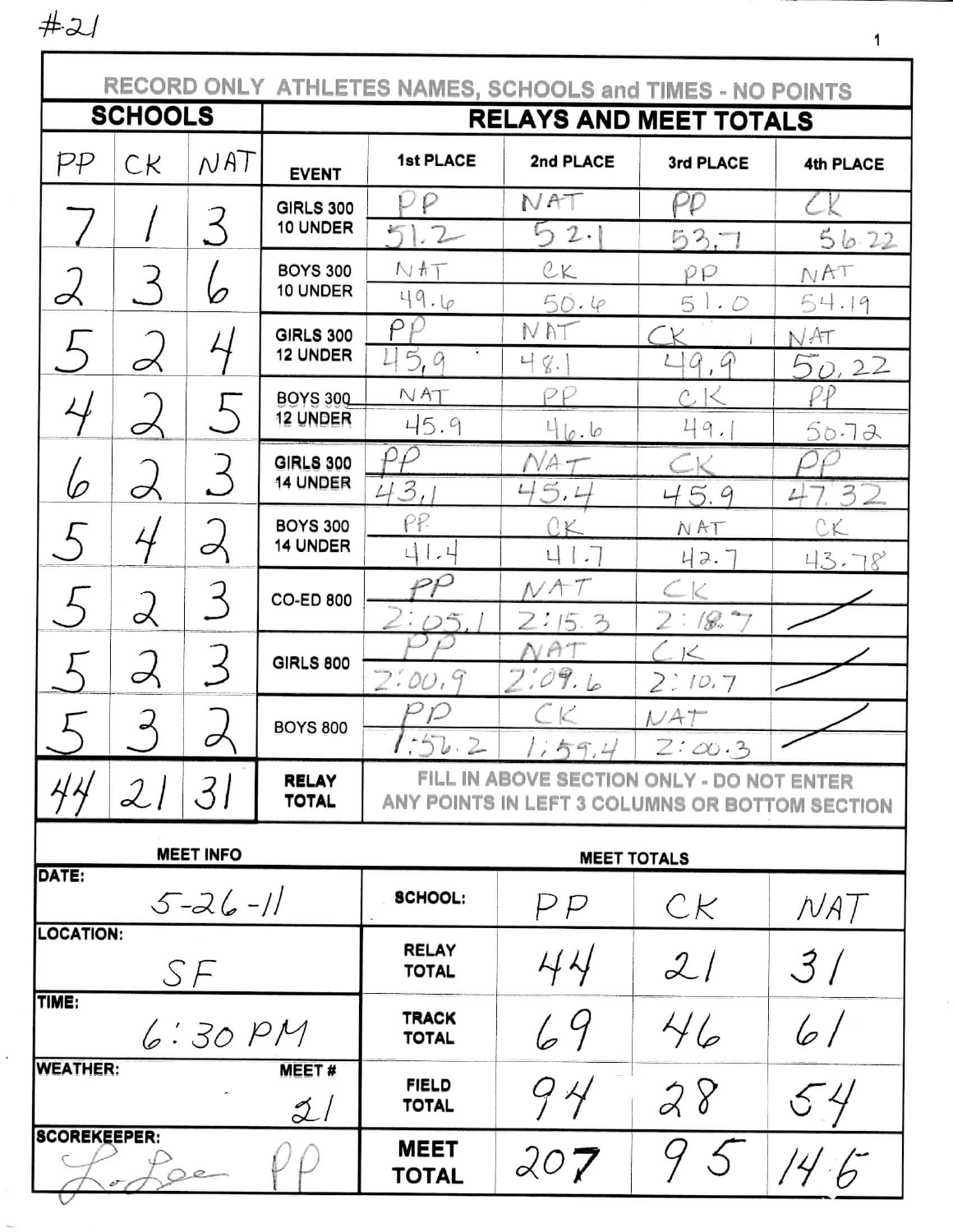$#21$ 

 $\ddot{\phantom{a}}$ 

 $\gamma_{\rm max}$ 

| RECORD ONLY ATHLETES NAMES, SCHOOLS and TIMES - NO POINTS |                |                  |                                     |                                                                                                                               |                           |                                                             |                  |  |
|-----------------------------------------------------------|----------------|------------------|-------------------------------------|-------------------------------------------------------------------------------------------------------------------------------|---------------------------|-------------------------------------------------------------|------------------|--|
|                                                           | <b>SCHOOLS</b> |                  | <b>RELAYS AND MEET TOTALS</b>       |                                                                                                                               |                           |                                                             |                  |  |
| pp                                                        | СK             | NAT              | <b>EVENT</b>                        | <b>1st PLACE</b>                                                                                                              | 2nd PLACE                 | 3rd PLACE                                                   | <b>4th PLACE</b> |  |
|                                                           |                | $\preceq$        | <b>GIRLS 300</b><br>10 UNDER        | P<br>$\leq$<br>.2                                                                                                             | NAT<br>2.<br>ら            | PP<br>53.7                                                  |                  |  |
| ∽                                                         |                |                  | <b>BOYS 300</b><br>10 UNDER         | NAT                                                                                                                           | CK                        | PP                                                          | 56.22<br>NAT     |  |
|                                                           |                |                  | <b>GIRLS 300</b><br><b>12 UNDER</b> | 49.6<br>ρ<br>q                                                                                                                | 50.4<br>NAT               | 5<br>1.0                                                    | 54.19<br>NAT     |  |
|                                                           |                | $\bigcup$        | BOYS 300<br>12 UNDER                | 5,<br>NAT                                                                                                                     | 나<br>q.<br>ρp             | G<br>$\mathcal{G}$<br>Ĉ,                                    | 50,22<br>PP      |  |
|                                                           | Ο              |                  | <b>GIRLS 300</b><br><b>14 UNDER</b> | 45.9<br>$\rho\rho$                                                                                                            | 46.6<br>$VA \tau$         | 49.                                                         | 50.72            |  |
| b                                                         | Ó              |                  | <b>BOYS 300</b><br>14 UNDER         | 43,<br>PP.                                                                                                                    | 5.4<br>$\leftarrow$<br>2K | 5.9<br>4<br>NAT                                             | 3<br>4<br>CK     |  |
|                                                           | L              | ♂                | <b>CO-ED 800</b>                    | 41.4<br>PΡ                                                                                                                    | 41.7                      | 42.7                                                        | 43.78            |  |
|                                                           |                |                  | <b>GIRLS 800</b>                    | $\tilde{\mathcal{L}}$<br>$\bigcirc$                                                                                           | 21<br>15.3<br>A           | $\supseteq$ :<br>$\sim$<br>18.,<br>$\overline{\mathcal{K}}$ |                  |  |
|                                                           |                |                  | <b>BOYS 800</b>                     | 2:00.<br>9<br>Ĺ                                                                                                               | 2:0<br>9.6                | 2:10.7<br>NAT                                               |                  |  |
|                                                           | 2              | 31               | <b>RELAY</b><br><b>TOTAL</b>        | 55.2<br>1.59.4<br>$Z:\infty.3$<br>FILL IN ABOVE SECTION ONLY - DO NOT ENTER<br>ANY POINTS IN LEFT 3 COLUMNS OR BOTTOM SECTION |                           |                                                             |                  |  |
|                                                           |                | <b>MEET INFO</b> |                                     | <b>MEET TOTALS</b>                                                                                                            |                           |                                                             |                  |  |
| DATE:<br>$5 - 26 - 11$                                    |                |                  | <b>SCHOOL:</b>                      | PP                                                                                                                            | CK                        | NAT                                                         |                  |  |
| <b>LOCATION:</b><br>SF                                    |                |                  |                                     | <b>RELAY</b><br><b>TOTAL</b>                                                                                                  | 44                        | 2/                                                          | 3/               |  |
| TIME:<br>6:30PM                                           |                |                  |                                     | <b>TRACK</b><br><b>TOTAL</b>                                                                                                  | 69                        | 46                                                          | 61               |  |
| <b>WEATHER:</b>                                           |                |                  | <b>MEET#</b><br>$\mathcal{Z}$ l     | <b>FIELD</b><br><b>TOTAL</b>                                                                                                  | 9 4                       | 28                                                          |                  |  |
| <b>SCOREKEEPER:</b>                                       |                |                  |                                     | <b>MEET</b><br><b>TOTAL</b>                                                                                                   | 207                       | Ś                                                           | 14.6             |  |

 $\mathbf{1}$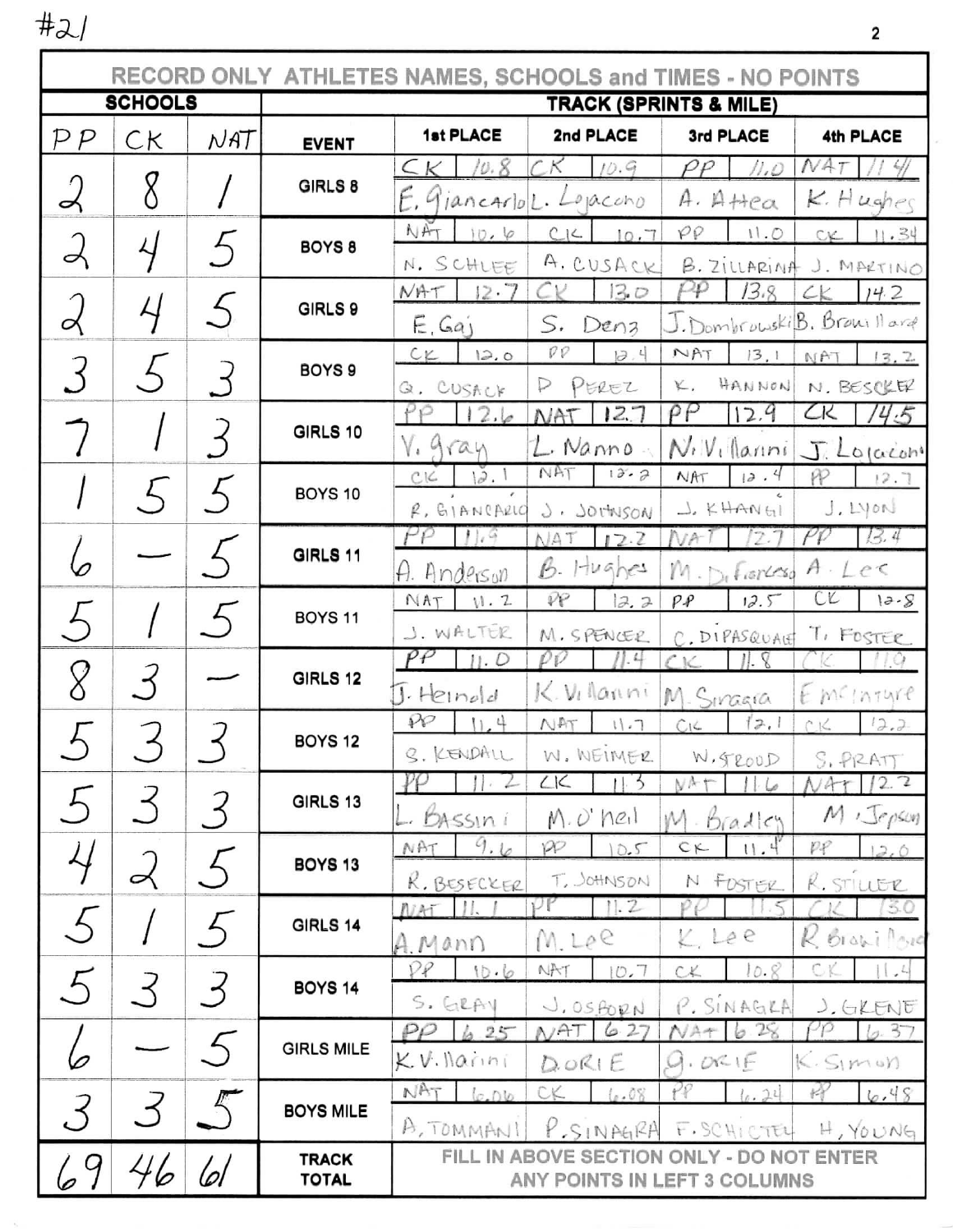$#2/$ 

|                          |              |         | RECORD ONLY ATHLETES NAMES, SCHOOLS and TIMES - NO POINTS |                                   |                                 |                                           |                              |  |
|--------------------------|--------------|---------|-----------------------------------------------------------|-----------------------------------|---------------------------------|-------------------------------------------|------------------------------|--|
| <b>SCHOOLS</b>           |              |         | <b>TRACK (SPRINTS &amp; MILE)</b>                         |                                   |                                 |                                           |                              |  |
| $\mathcal{P}\mathcal{P}$ | СK           | NAT     | <b>EVENT</b>                                              | 1st PLACE                         | 2nd PLACE                       | 3rd PLACE                                 | 4th PLACE                    |  |
|                          |              |         | $\subset$ $\lt$<br>10.8                                   | CК<br>10.9                        | $\rho\rho$<br>11.0              | NAT                                       |                              |  |
| 2                        |              |         | GIRLS 8                                                   |                                   | E. GiancarloL. Lopaccho         | $A.$ A $Hea$                              | K.Hughec                     |  |
| 2                        |              | $\zeta$ | BOYS <sub>8</sub>                                         | NAT<br>10.6                       | CLC<br>10.7                     | $\varphi\varrho$<br>11.0                  | 11.34<br>CK.                 |  |
|                          |              |         |                                                           | N. SCHLEE                         | A. CUSACK                       | B. ZILLARINA                              | J. MARTINO                   |  |
|                          | $\downarrow$ |         | GIRLS 9                                                   | NAT<br>$12 - 7$                   | 13.0                            | ρφ<br>13.8                                | 14.2<br>$c_{\mathcal{K}}$    |  |
| ⊲                        |              |         |                                                           | E, Ga                             | S,<br>Denz                      |                                           | J. Dombrowski B. Browill and |  |
|                          |              |         | BOYS <sub>9</sub>                                         | $c_{K}$<br>2.0                    | $\mathcal{P}\mathcal{P}$<br>3.4 | NAT<br>13,1                               | NAT<br>13.2                  |  |
|                          |              |         |                                                           | Q. CUSACK                         | PEREZ<br>₽                      | HANNON<br>K.<br>ρP                        | N. BESCKER<br>CK             |  |
|                          |              |         | GIRLS 10                                                  | 12.6<br>V. gran                   | 12.7<br>NAT                     | 12.9                                      | 14.5                         |  |
|                          |              |         |                                                           | 12.1<br>CLC                       | L. Nanno<br>NAT<br>13.2         | $N_{i}$ $V_{i}$ (lanni)<br>12.4<br>NAT    | J. Lojaconi<br>PP<br>12.7    |  |
|                          |              |         | BOYS 10                                                   | $R, G$ IANCARIO                   | J. JOTTUSON                     | $L$ KHANGI                                | $J.$ Lyon                    |  |
|                          |              |         |                                                           | 109<br>PΡ                         | NAT<br>12.2                     | 12.7<br>NA-                               | 13.4                         |  |
| D                        |              |         | GIRLS 11                                                  | A. Anderson                       | $B.$ Hughes                     | $M_{\odot}$ Fiorcesa                      | $A \cdot LeC$                |  |
|                          |              |         |                                                           | NAT<br>V.2                        | ₽P<br>12.2                      | PP<br>12.5                                | C <sub>K</sub><br>$12 - 8$   |  |
|                          |              |         | <b>BOYS 11</b>                                            | J. WALTER                         | M. SPENCER                      | C. DIPASQUAET                             | T, FOSTER                    |  |
|                          |              |         |                                                           | $^{\rho_{{\cal F}}}$<br>$  . \nD$ | ρρ<br>1.4                       | 11. S                                     |                              |  |
| 8                        |              |         | GIRLS 12                                                  | $I.$ Heinold                      | K. Villanni                     | M. Sinagra                                | EMCINTURE                    |  |
|                          |              |         | <b>BOYS 12</b>                                            | $\wp$<br>11.4                     | NAT<br>11.7                     | 12,1<br>C1C                               | CK<br>12.2                   |  |
|                          |              |         |                                                           | S. KENDALL                        | W. NEIMER                       | W. FROUD                                  | S. PIRATT                    |  |
|                          |              |         | GIRLS 13                                                  |                                   | L1C<br>$\overline{\phantom{a}}$ | ŅА                                        | 2.7<br>$\mathcal{A}$         |  |
|                          |              |         |                                                           | <b>BASSIN</b>                     | $M. O'$ heil                    | M. Bradley                                | M <i>Sepson</i>              |  |
| 4                        |              |         | <b>BOYS 13</b>                                            | 9.6<br>NAT                        | pp<br>10.5                      | 11.4<br>$C_{\text{K}}$                    | PP<br>12.0                   |  |
|                          | ∽            |         |                                                           | K. BESECKER                       | T. JOHNSON<br>11.2              | N FOSTER                                  | R. STILLER                   |  |
| $\left( \right)$         |              |         | <b>GIRLS 14</b><br><b>BOYS 14</b>                         | -11.<br>NAT                       |                                 | K, Lee                                    | 30<br>K Brazilova            |  |
|                          |              |         |                                                           | A. Mann<br>PP<br>10.6             | M. Lee<br>NAT<br>10,7           | 10.8<br>c                                 | C<br>$\lfloor \cdot \rfloor$ |  |
| 5                        |              | 3       |                                                           | S. GRAY                           |                                 |                                           |                              |  |
|                          |              |         | <b>GIRLS MILE</b>                                         | 6.25<br>$_{\rho\rho}$             | J. OSBORN<br>NAT<br>6.27        | P. SINAGRA<br>28<br>NΑ<br>6               | J. GKENF<br>9.37             |  |
|                          |              |         |                                                           | KV Narini                         | DORIE                           | 9.0216                                    | K.SIMON                      |  |
|                          |              |         |                                                           | NAT<br>6.06                       | CK<br>6.08                      | (a, 24)                                   | 料<br>6.48                    |  |
| 3                        |              |         | <b>BOYS MILE</b>                                          | A, TOMMANI                        | P.SINAGRA                       | F. SCHICTEL                               | $H, Y_0 \cup N_9$            |  |
|                          |              |         | <b>TRACK</b>                                              |                                   |                                 | FILL IN ABOVE SECTION ONLY - DO NOT ENTER |                              |  |
|                          |              |         | <b>TOTAL</b>                                              |                                   |                                 | ANY POINTS IN LEFT 3 COLUMNS              |                              |  |